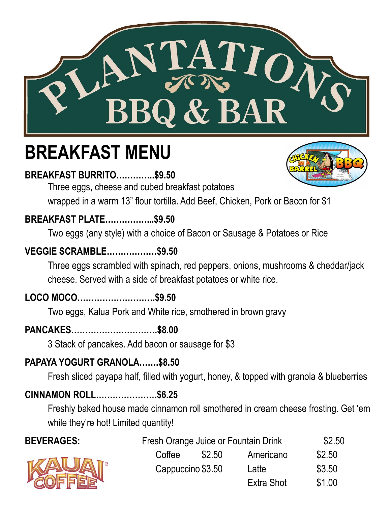

# **BREAKFAST MENU**

# **BREAKFAST BURRITO…………..\$9.50**



Three eggs, cheese and cubed breakfast potatoes

wrapped in a warm 13" flour tortilla. Add Beef, Chicken, Pork or Bacon for \$1

# **BREAKFAST PLATE……………...\$9.50**

Two eggs (any style) with a choice of Bacon or Sausage & Potatoes or Rice

# **VEGGIE SCRAMBLE………………\$9.50**

Three eggs scrambled with spinach, red peppers, onions, mushrooms & cheddar/jack cheese. Served with a side of breakfast potatoes or white rice.

# **LOCO MOCO……………………….\$9.50**

Two eggs, Kalua Pork and White rice, smothered in brown gravy

# **PANCAKES………………………….\$8.00**

3 Stack of pancakes. Add bacon or sausage for \$3

# **PAPAYA YOGURT GRANOLA…….\$8.50**

Fresh sliced payapa half, filled with yogurt, honey, & topped with granola & blueberries

# **CINNAMON ROLL………………….\$6.25**

Freshly baked house made cinnamon roll smothered in cream cheese frosting. Get 'em while they're hot! Limited quantity!

| \$2.50 |
|--------|
| \$2.50 |
| \$3.50 |
| \$1.00 |
|        |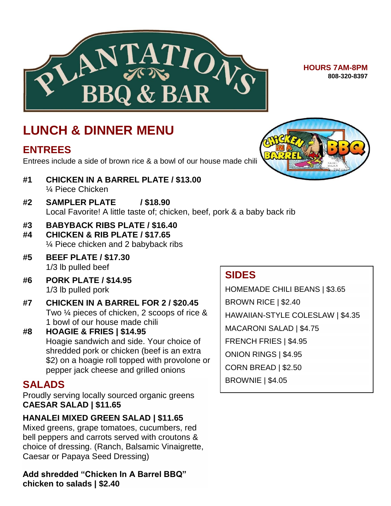

**HOURS 7AM-8PM 808-320-8397**

# **LUNCH & DINNER MENU**

### **ENTREES**

Entrees include a side of brown rice & a bowl of our house made chili

- **#1 CHICKEN IN A BARREL PLATE / \$13.00** ¼ Piece Chicken
- **#2 SAMPLER PLATE / \$18.90** Local Favorite! A little taste of; chicken, beef, pork & a baby back rib
- **#3 BABYBACK RIBS PLATE / \$16.40**
- **#4 CHICKEN & RIB PLATE / \$17.65** ¼ Piece chicken and 2 babyback ribs
- **#5 BEEF PLATE / \$17.30** 1/3 lb pulled beef
- **#6 PORK PLATE / \$14.95** 1/3 lb pulled pork
- **#7 CHICKEN IN A BARREL FOR 2 / \$20.45** Two ¼ pieces of chicken, 2 scoops of rice & 1 bowl of our house made chili
- **#8 HOAGIE & FRIES | \$14.95** Hoagie sandwich and side. Your choice of shredded pork or chicken (beef is an extra \$2) on a hoagie roll topped with provolone or pepper jack cheese and grilled onions

# **SALADS**

Proudly serving locally sourced organic greens **CAESAR SALAD | \$11.65**

### **HANALEI MIXED GREEN SALAD | \$11.65**

Mixed greens, grape tomatoes, cucumbers, red bell peppers and carrots served with croutons & choice of dressing. (Ranch, Balsamic Vinaigrette, Caesar or Papaya Seed Dressing)

**Add shredded "Chicken In A Barrel BBQ" chicken to salads | \$2.40**

# **SIDES**

HOMEMADE CHILI BEANS | \$3.65 BROWN RICE | \$2.40 HAWAIIAN-STYLE COLESLAW | \$4.35 MACARONI SALAD | \$4.75 FRENCH FRIES | \$4.95 ONION RINGS | \$4.95 CORN BREAD | \$2.50 BROWNIE | \$4.05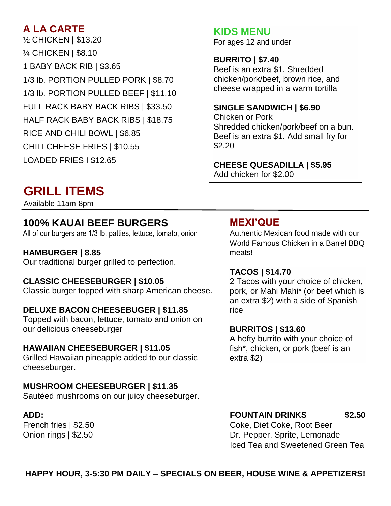# **A LA CARTE**

½ CHICKEN | \$13.20 ¼ CHICKEN | \$8.10 1 BABY BACK RIB | \$3.65 1/3 lb. PORTION PULLED PORK | \$8.70 1/3 lb. PORTION PULLED BEEF | \$11.10 FULL RACK BABY BACK RIBS | \$33.50 HALF RACK BABY BACK RIBS | \$18.75 RICE AND CHILI BOWL | \$6.85 CHILI CHEESE FRIES | \$10.55 LOADED FRIES I \$12.65

# **GRILL ITEMS**

Available 11am-8pm

# **100% KAUAI BEEF BURGERS**

All of our burgers are 1/3 lb. patties, lettuce, tomato, onion

#### **HAMBURGER | 8.85**

Our traditional burger grilled to perfection.

#### **CLASSIC CHEESEBURGER | \$10.05**

Classic burger topped with sharp American cheese.

#### **DELUXE BACON CHEESEBUGER | \$11.85**

Topped with bacon, lettuce, tomato and onion on our delicious cheeseburger

#### **HAWAIIAN CHEESEBURGER | \$11.05**

Grilled Hawaiian pineapple added to our classic cheeseburger.

#### **MUSHROOM CHEESEBURGER | \$11.35**

Sautéed mushrooms on our juicy cheeseburger.

# **KIDS MENU**

For ages 12 and under

#### **BURRITO | \$7.40**

Beef is an extra \$1. Shredded chicken/pork/beef, brown rice, and cheese wrapped in a warm tortilla

#### **SINGLE SANDWICH | \$6.90**

Chicken or Pork Shredded chicken/pork/beef on a bun. Beef is an extra \$1. Add small fry for \$2.20

#### **CHEESE QUESADILLA | \$5.95** Add chicken for \$2.00

### **MEXI'QUE**

Authentic Mexican food made with our World Famous Chicken in a Barrel BBQ meats!

#### **TACOS | \$14.70**

2 Tacos with your choice of chicken, pork, or Mahi Mahi\* (or beef which is an extra \$2) with a side of Spanish rice

#### **BURRITOS | \$13.60**

A hefty burrito with your choice of fish\*, chicken, or pork (beef is an extra \$2)

#### **ADD: FOUNTAIN DRINKS \$2.50**

French fries | \$2.50 Coke, Diet Coke, Root Beer Onion rings | \$2.50 **Dr. Pepper, Sprite, Lemonade** Iced Tea and Sweetened Green Tea

#### **HAPPY HOUR, 3-5:30 PM DAILY – SPECIALS ON BEER, HOUSE WINE & APPETIZERS!**